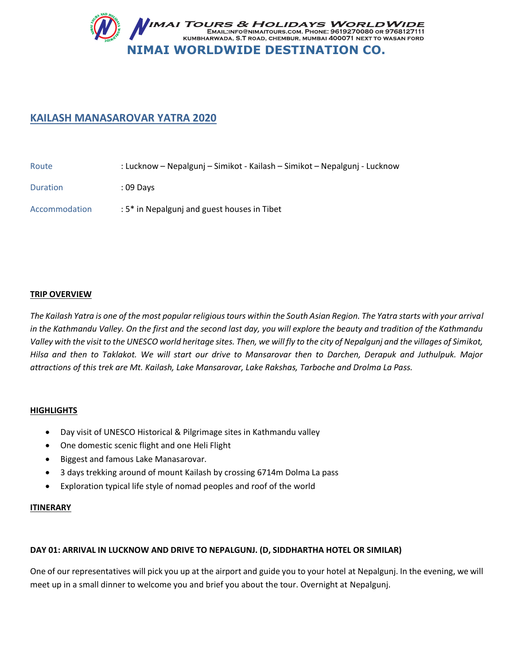

# **KAILASH MANASAROVAR YATRA 2020**

| Route           | : Lucknow – Nepalgunj – Simikot - Kailash – Simikot – Nepalgunj - Lucknow |
|-----------------|---------------------------------------------------------------------------|
| <b>Duration</b> | : 09 Davs                                                                 |
| Accommodation   | : 5* in Nepalgunj and guest houses in Tibet                               |

### **TRIP OVERVIEW**

*The Kailash Yatra is one of the most popular religious tours within the South Asian Region. The Yatra starts with your arrival in the Kathmandu Valley. On the first and the second last day, you will explore the beauty and tradition of the Kathmandu Valley with the visit to the UNESCO world heritage sites. Then, we will fly to the city of Nepalgunj and the villages of Simikot, Hilsa and then to Taklakot. We will start our drive to Mansarovar then to Darchen, Derapuk and Juthulpuk. Major attractions of this trek are Mt. Kailash, Lake Mansarovar, Lake Rakshas, Tarboche and Drolma La Pass.*

### **HIGHLIGHTS**

- Day visit of UNESCO Historical & Pilgrimage sites in Kathmandu valley
- One domestic scenic flight and one Heli Flight
- **•** Biggest and famous Lake Manasarovar.
- 3 days trekking around of mount Kailash by crossing 6714m Dolma La pass
- Exploration typical life style of nomad peoples and roof of the world

### **ITINERARY**

### **DAY 01: ARRIVAL IN LUCKNOW AND DRIVE TO NEPALGUNJ. (D, SIDDHARTHA HOTEL OR SIMILAR)**

One of our representatives will pick you up at the airport and guide you to your hotel at Nepalgunj. In the evening, we will meet up in a small dinner to welcome you and brief you about the tour. Overnight at Nepalgunj.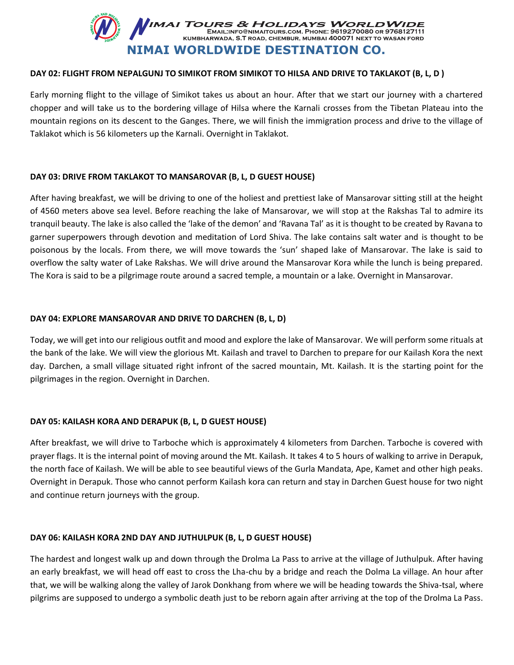

### **DAY 02: FLIGHT FROM NEPALGUNJ TO SIMIKOT FROM SIMIKOT TO HILSA AND DRIVE TO TAKLAKOT (B, L, D )**

Early morning flight to the village of Simikot takes us about an hour. After that we start our journey with a chartered chopper and will take us to the bordering village of Hilsa where the Karnali crosses from the Tibetan Plateau into the mountain regions on its descent to the Ganges. There, we will finish the immigration process and drive to the village of Taklakot which is 56 kilometers up the Karnali. Overnight in Taklakot.

### **DAY 03: DRIVE FROM TAKLAKOT TO MANSAROVAR (B, L, D GUEST HOUSE)**

After having breakfast, we will be driving to one of the holiest and prettiest lake of Mansarovar sitting still at the height of 4560 meters above sea level. Before reaching the lake of Mansarovar, we will stop at the Rakshas Tal to admire its tranquil beauty. The lake is also called the 'lake of the demon' and 'Ravana Tal' as it is thought to be created by Ravana to garner superpowers through devotion and meditation of Lord Shiva. The lake contains salt water and is thought to be poisonous by the locals. From there, we will move towards the 'sun' shaped lake of Mansarovar. The lake is said to overflow the salty water of Lake Rakshas. We will drive around the Mansarovar Kora while the lunch is being prepared. The Kora is said to be a pilgrimage route around a sacred temple, a mountain or a lake. Overnight in Mansarovar.

#### **DAY 04: EXPLORE MANSAROVAR AND DRIVE TO DARCHEN (B, L, D)**

Today, we will get into our religious outfit and mood and explore the lake of Mansarovar. We will perform some rituals at the bank of the lake. We will view the glorious Mt. Kailash and travel to Darchen to prepare for our Kailash Kora the next day. Darchen, a small village situated right infront of the sacred mountain, Mt. Kailash. It is the starting point for the pilgrimages in the region. Overnight in Darchen.

### **DAY 05: KAILASH KORA AND DERAPUK (B, L, D GUEST HOUSE)**

After breakfast, we will drive to Tarboche which is approximately 4 kilometers from Darchen. Tarboche is covered with prayer flags. It is the internal point of moving around the Mt. Kailash. It takes 4 to 5 hours of walking to arrive in Derapuk, the north face of Kailash. We will be able to see beautiful views of the Gurla Mandata, Ape, Kamet and other high peaks. Overnight in Derapuk. Those who cannot perform Kailash kora can return and stay in Darchen Guest house for two night and continue return journeys with the group.

#### **DAY 06: KAILASH KORA 2ND DAY AND JUTHULPUK (B, L, D GUEST HOUSE)**

The hardest and longest walk up and down through the Drolma La Pass to arrive at the village of Juthulpuk. After having an early breakfast, we will head off east to cross the Lha-chu by a bridge and reach the Dolma La village. An hour after that, we will be walking along the valley of Jarok Donkhang from where we will be heading towards the Shiva-tsal, where pilgrims are supposed to undergo a symbolic death just to be reborn again after arriving at the top of the Drolma La Pass.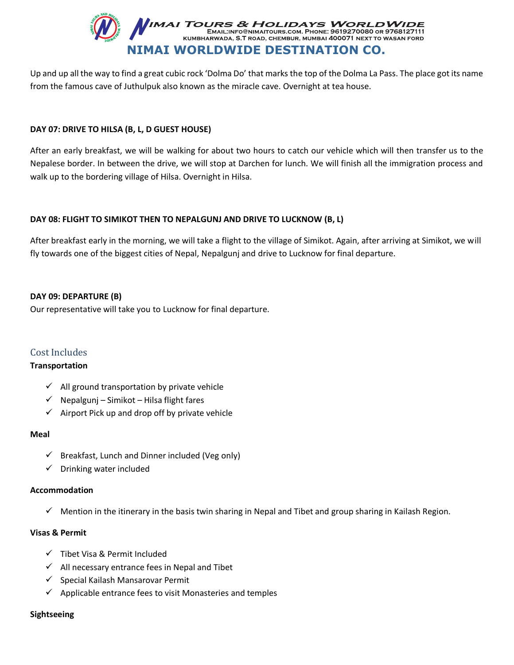

Up and up all the way to find a great cubic rock 'Dolma Do' that marks the top of the Dolma La Pass. The place got its name from the famous cave of Juthulpuk also known as the miracle cave. Overnight at tea house.

### **DAY 07: DRIVE TO HILSA (B, L, D GUEST HOUSE)**

After an early breakfast, we will be walking for about two hours to catch our vehicle which will then transfer us to the Nepalese border. In between the drive, we will stop at Darchen for lunch. We will finish all the immigration process and walk up to the bordering village of Hilsa. Overnight in Hilsa.

### **DAY 08: FLIGHT TO SIMIKOT THEN TO NEPALGUNJ AND DRIVE TO LUCKNOW (B, L)**

After breakfast early in the morning, we will take a flight to the village of Simikot. Again, after arriving at Simikot, we will fly towards one of the biggest cities of Nepal, Nepalgunj and drive to Lucknow for final departure.

### **DAY 09: DEPARTURE (B)**

Our representative will take you to Lucknow for final departure.

### Cost Includes

### **Transportation**

- $\checkmark$  All ground transportation by private vehicle
- $\checkmark$  Nepalgunj Simikot Hilsa flight fares
- Airport Pick up and drop off by private vehicle

### **Meal**

- $\checkmark$  Breakfast, Lunch and Dinner included (Veg only)
- $\checkmark$  Drinking water included

### **Accommodation**

 $\checkmark$  Mention in the itinerary in the basis twin sharing in Nepal and Tibet and group sharing in Kailash Region.

### **Visas & Permit**

- $\checkmark$  Tibet Visa & Permit Included
- $\checkmark$  All necessary entrance fees in Nepal and Tibet
- $\checkmark$  Special Kailash Mansarovar Permit
- $\checkmark$  Applicable entrance fees to visit Monasteries and temples

### **Sightseeing**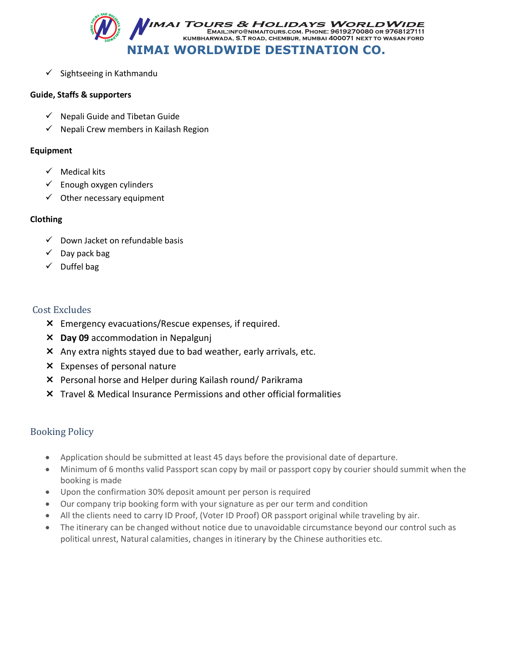

 $\checkmark$  Sightseeing in Kathmandu

### **Guide, Staffs & supporters**

- $\checkmark$  Nepali Guide and Tibetan Guide
- $\checkmark$  Nepali Crew members in Kailash Region

### **Equipment**

- $\checkmark$  Medical kits
- $\checkmark$  Enough oxygen cylinders
- $\checkmark$  Other necessary equipment

## **Clothing**

- $\checkmark$  Down Jacket on refundable basis
- $\checkmark$  Day pack bag
- $\checkmark$  Duffel bag

# Cost Excludes

- Emergency evacuations/Rescue expenses, if required.
- **Day 09** accommodation in Nepalgunj
- Any extra nights stayed due to bad weather, early arrivals, etc.
- Expenses of personal nature
- Personal horse and Helper during Kailash round/ Parikrama
- Travel & Medical Insurance Permissions and other official formalities

# Booking Policy

- Application should be submitted at least 45 days before the provisional date of departure.
- Minimum of 6 months valid Passport scan copy by mail or passport copy by courier should summit when the booking is made
- Upon the confirmation 30% deposit amount per person is required
- Our company trip booking form with your signature as per our term and condition
- All the clients need to carry ID Proof, (Voter ID Proof) OR passport original while traveling by air.
- The itinerary can be changed without notice due to unavoidable circumstance beyond our control such as political unrest, Natural calamities, changes in itinerary by the Chinese authorities etc.